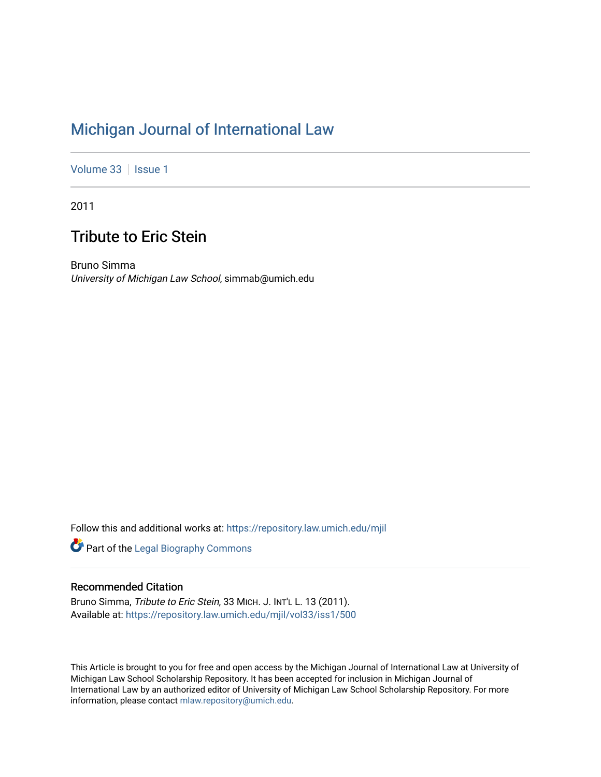# [Michigan Journal of International Law](https://repository.law.umich.edu/mjil)

[Volume 33](https://repository.law.umich.edu/mjil/vol33) | [Issue 1](https://repository.law.umich.edu/mjil/vol33/iss1)

2011

## Tribute to Eric Stein

Bruno Simma University of Michigan Law School, simmab@umich.edu

Follow this and additional works at: [https://repository.law.umich.edu/mjil](https://repository.law.umich.edu/mjil?utm_source=repository.law.umich.edu%2Fmjil%2Fvol33%2Fiss1%2F500&utm_medium=PDF&utm_campaign=PDFCoverPages) 

**Part of the Legal Biography Commons** 

### Recommended Citation

Bruno Simma, Tribute to Eric Stein, 33 MICH. J. INT'L L. 13 (2011). Available at: [https://repository.law.umich.edu/mjil/vol33/iss1/500](https://repository.law.umich.edu/mjil/vol33/iss1/500?utm_source=repository.law.umich.edu%2Fmjil%2Fvol33%2Fiss1%2F500&utm_medium=PDF&utm_campaign=PDFCoverPages) 

This Article is brought to you for free and open access by the Michigan Journal of International Law at University of Michigan Law School Scholarship Repository. It has been accepted for inclusion in Michigan Journal of International Law by an authorized editor of University of Michigan Law School Scholarship Repository. For more information, please contact [mlaw.repository@umich.edu](mailto:mlaw.repository@umich.edu).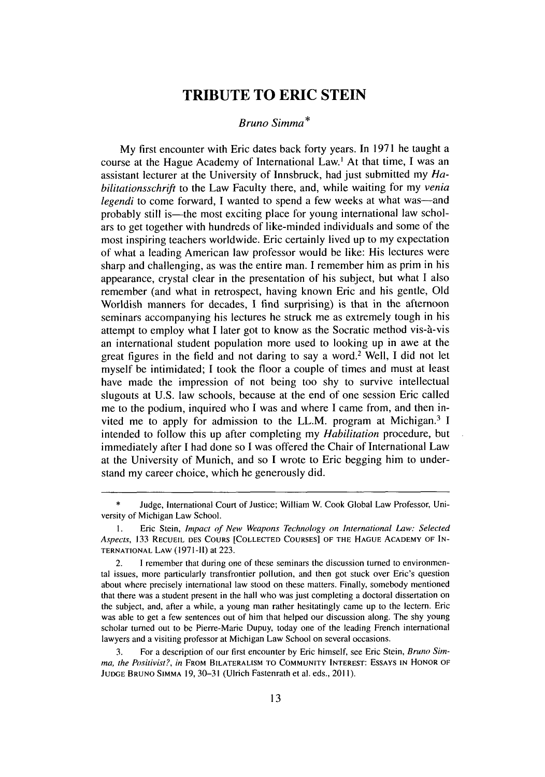### **TRIBUTE TO ERIC STEIN**

#### *Bruno Simma\**

My first encounter with Eric dates back forty years. In **1971** he taught a course at the Hague Academy of International Law.' At that time, **I** was an assistant lecturer at the University of Innsbruck, had just submitted **my** *Habilitationsschrift* to the Law Faculty there, and, while waiting for my *venia legendi* to come forward. I wanted to spend a few weeks at what was—and probably still is—the most exciting place for young international law scholars to get together with hundreds of like-minded individuals and some of the most inspiring teachers worldwide. Eric certainly lived up to my expectation of what a leading American law professor would be like: His lectures were sharp and challenging, as was the entire man. **I** remember him as prim in his appearance, crystal clear in the presentation of his subject, but what **I** also remember (and what in retrospect, having known Eric and his gentle, **Old** Worldish manners for decades, **I** find surprising) is that in the afternoon seminars accompanying his lectures he struck me as extremely tough in his attempt to employ what I later got to know as the Socratic method vis-à-vis an international student population more used to looking up in awe at the great figures in the field and not daring to say a word. 2 Well, **I** did not let myself be intimidated; **I** took the floor a couple of times and must at least have made the impression of not being too shy to survive intellectual slugouts at **U.S.** law schools, because at the end of one session Eric called me to the podium, inquired who **I** was and where **I** came from, and then invited me to apply for admission to the LL.M. program at Michigan.3 **I** intended to follow this up after completing my *Habilitation* procedure, but immediately after **I** had done so **I** was offered the Chair of International Law at the University of Munich, and so **I** wrote to Eric begging him to understand my career choice, which he generously did.

**<sup>\*</sup>** Judge, International Court of Justice; William W. Cook Global Law Professor, University of Michigan Law School.

**<sup>1.</sup>** Eric Stein, *Impact of New Weapons Technology on International Law: Selected Aspects,* 133 RECUEIL DES COURS [COLLECTED COURSES] OF **THE** HAGUE ACADEMY OF **IN-TERNATIONAL** LAW **(1971-11)** at 223.

<sup>2.</sup> **1** remember that during one of these seminars the discussion turned to environmental issues, more particularly transfrontier pollution, and then got stuck over Eric's question about where precisely international law stood on these matters. Finally, somebody mentioned that there was a student present in the hall who was just completing a doctoral dissertation on the subject, and, after a while, a young man rather hesitatingly came up to the lectern. Eric was able to get a few sentences out of him that helped our discussion along. The shy young scholar turned out to be Pierre-Marie Dupuy, today one of the leading French international lawyers and a visiting professor at Michigan Law School on several occasions.

<sup>3.</sup> For a description of our first encounter by Eric himself, see Eric Stein, *Bruno Simma, the Positivist?, in* FROM BILATERALISM TO COMMUNITY INTEREST: ESSAYS IN HONOR OF JUDGE BRUNO SIMMA 19, **30-31** (Ulrich Fastenrath et al. eds., 2011).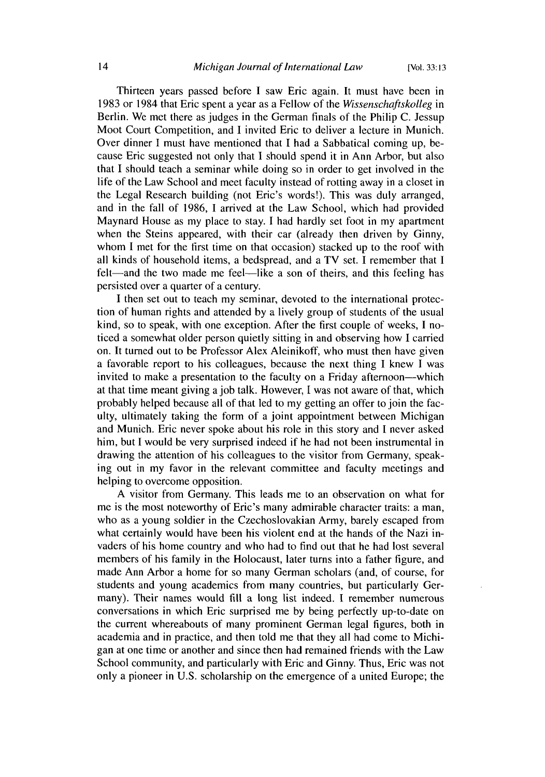Thirteen years passed before I saw Eric again. It must have been in 1983 or 1984 that Eric spent a year as a Fellow of the *Wissenschaftskolleg* in Berlin. We met there as judges in the German finals of the Philip C. Jessup Moot Court Competition, and I invited Eric to deliver a lecture in Munich. Over dinner I must have mentioned that I had a Sabbatical coming up, because Eric suggested not only that I should spend it in Ann Arbor, but also that I should teach a seminar while doing so in order to get involved in the life of the Law School and meet faculty instead of rotting away in a closet in the Legal Research building (not Eric's words!). This was duly arranged, and in the fall of 1986, I arrived at the Law School, which had provided Maynard House as my place to stay. I had hardly set foot in my apartment when the Steins appeared, with their car (already then driven by Ginny, whom I met for the first time on that occasion) stacked up to the roof with all kinds of household items, a bedspread, and a TV set. I remember that I felt—and the two made me feel—like a son of theirs, and this feeling has persisted over a quarter of a century.

I then set out to teach my seminar, devoted to the international protection of human rights and attended by a lively group of students of the usual kind, so to speak, with one exception. After the first couple of weeks, I noticed a somewhat older person quietly sitting in and observing how I carried on. It turned out to be Professor Alex Aleinikoff, who must then have given a favorable report to his colleagues, because the next thing I knew I was invited to make a presentation to the faculty on a Friday afternoon—which at that time meant giving a job talk. However, **I** was not aware of that, which probably helped because all of that led to my getting an offer to join the faculty, ultimately taking the form of a joint appointment between Michigan and Munich. Eric never spoke about his role in this story and I never asked him, but I would be very surprised indeed if he had not been instrumental in drawing the attention of his colleagues to the visitor from Germany, speaking out in my favor in the relevant committee and faculty meetings and helping to overcome opposition.

A visitor from Germany. This leads me to an observation on what for me is the most noteworthy of Eric's many admirable character traits: a man, who as a young soldier in the Czechoslovakian Army, barely escaped from what certainly would have been his violent end at the hands of the Nazi invaders of his home country and who had to find out that he had lost several members of his family in the Holocaust, later turns into a father figure, and made Ann Arbor a home for so many German scholars (and, of course, for students and young academics from many countries, but particularly Germany). Their names would fill a long list indeed. I remember numerous conversations in which Eric surprised me by being perfectly up-to-date on the current whereabouts of many prominent German legal figures, both in academia and in practice, and then told me that they all had come to Michigan at one time or another and since then had remained friends with the Law School community, and particularly with Eric and Ginny. Thus, Eric was not only a pioneer in U.S. scholarship on the emergence of a united Europe; the